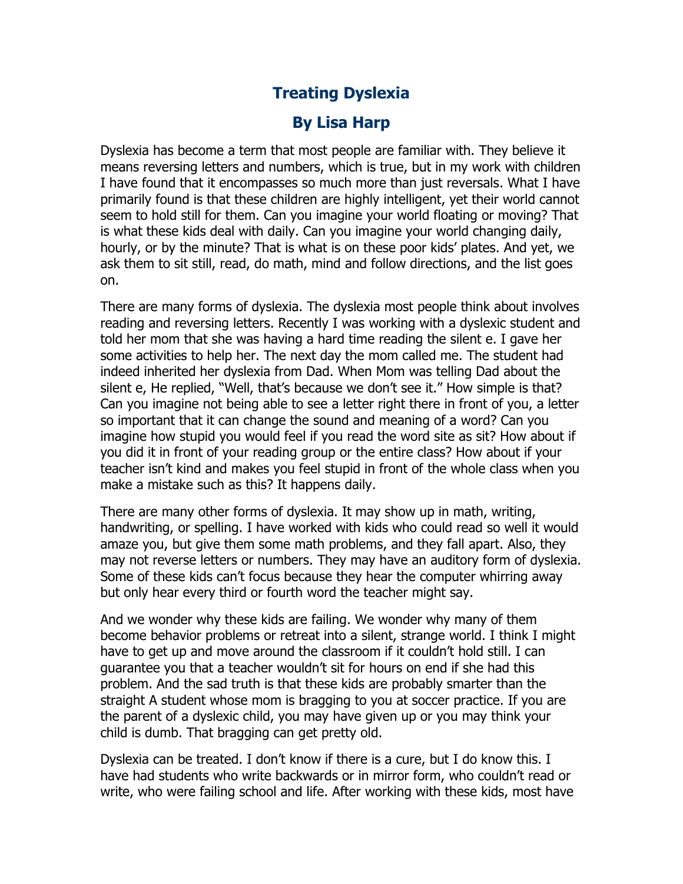## **Treating Dyslexia**

## **By Lisa Harp**

Dyslexia has become a term that most people are familiar with. They believe it means reversing letters and numbers, which is true, but in my work with children I have found that it encompasses so much more than just reversals. What I have primarily found is that these children are highly intelligent, yet their world cannot seem to hold still for them. Can you imagine your world floating or moving? That is what these kids deal with daily. Can you imagine your world changing daily, hourly, or by the minute? That is what is on these poor kids' plates. And yet, we ask them to sit still, read, do math, mind and follow directions, and the list goes on.

There are many forms of dyslexia. The dyslexia most people think about involves reading and reversing letters. Recently I was working with a dyslexic student and told her mom that she was having a hard time reading the silent e. I gave her some activities to help her. The next day the mom called me. The student had indeed inherited her dyslexia from Dad. When Mom was telling Dad about the silent e, He replied, "Well, that's because we don't see it." How simple is that? Can you imagine not being able to see a letter right there in front of you, a letter so important that it can change the sound and meaning of a word? Can you imagine how stupid you would feel if you read the word site as sit? How about if you did it in front of your reading group or the entire class? How about if your teacher isn't kind and makes you feel stupid in front of the whole class when you make a mistake such as this? It happens daily.

There are many other forms of dyslexia. It may show up in math, writing, handwriting, or spelling. I have worked with kids who could read so well it would amaze you, but give them some math problems, and they fall apart. Also, they may not reverse letters or numbers. They may have an auditory form of dyslexia. Some of these kids can't focus because they hear the computer whirring away but only hear every third or fourth word the teacher might say.

And we wonder why these kids are failing. We wonder why many of them become behavior problems or retreat into a silent, strange world. I think I might have to get up and move around the classroom if it couldn't hold still. I can guarantee you that a teacher wouldn't sit for hours on end if she had this problem. And the sad truth is that these kids are probably smarter than the straight A student whose mom is bragging to you at soccer practice. If you are the parent of a dyslexic child, you may have given up or you may think your child is dumb. That bragging can get pretty old.

Dyslexia can be treated. I don't know if there is a cure, but I do know this. I have had students who write backwards or in mirror form, who couldn't read or write, who were failing school and life. After working with these kids, most have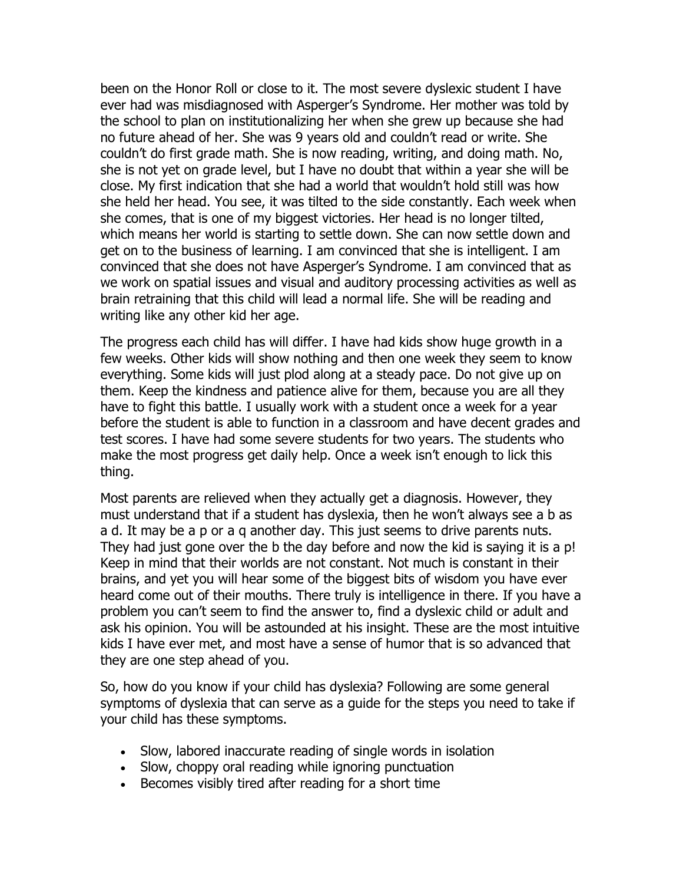been on the Honor Roll or close to it. The most severe dyslexic student I have ever had was misdiagnosed with Asperger's Syndrome. Her mother was told by the school to plan on institutionalizing her when she grew up because she had no future ahead of her. She was 9 years old and couldn't read or write. She couldn't do first grade math. She is now reading, writing, and doing math. No, she is not yet on grade level, but I have no doubt that within a year she will be close. My first indication that she had a world that wouldn't hold still was how she held her head. You see, it was tilted to the side constantly. Each week when she comes, that is one of my biggest victories. Her head is no longer tilted, which means her world is starting to settle down. She can now settle down and get on to the business of learning. I am convinced that she is intelligent. I am convinced that she does not have Asperger's Syndrome. I am convinced that as we work on spatial issues and visual and auditory processing activities as well as brain retraining that this child will lead a normal life. She will be reading and writing like any other kid her age.

The progress each child has will differ. I have had kids show huge growth in a few weeks. Other kids will show nothing and then one week they seem to know everything. Some kids will just plod along at a steady pace. Do not give up on them. Keep the kindness and patience alive for them, because you are all they have to fight this battle. I usually work with a student once a week for a year before the student is able to function in a classroom and have decent grades and test scores. I have had some severe students for two years. The students who make the most progress get daily help. Once a week isn't enough to lick this thing.

Most parents are relieved when they actually get a diagnosis. However, they must understand that if a student has dyslexia, then he won't always see a b as a d. It may be a p or a q another day. This just seems to drive parents nuts. They had just gone over the b the day before and now the kid is saying it is a p! Keep in mind that their worlds are not constant. Not much is constant in their brains, and yet you will hear some of the biggest bits of wisdom you have ever heard come out of their mouths. There truly is intelligence in there. If you have a problem you can't seem to find the answer to, find a dyslexic child or adult and ask his opinion. You will be astounded at his insight. These are the most intuitive kids I have ever met, and most have a sense of humor that is so advanced that they are one step ahead of you.

So, how do you know if your child has dyslexia? Following are some general symptoms of dyslexia that can serve as a guide for the steps you need to take if your child has these symptoms.

- Slow, labored inaccurate reading of single words in isolation
- Slow, choppy oral reading while ignoring punctuation
- Becomes visibly tired after reading for a short time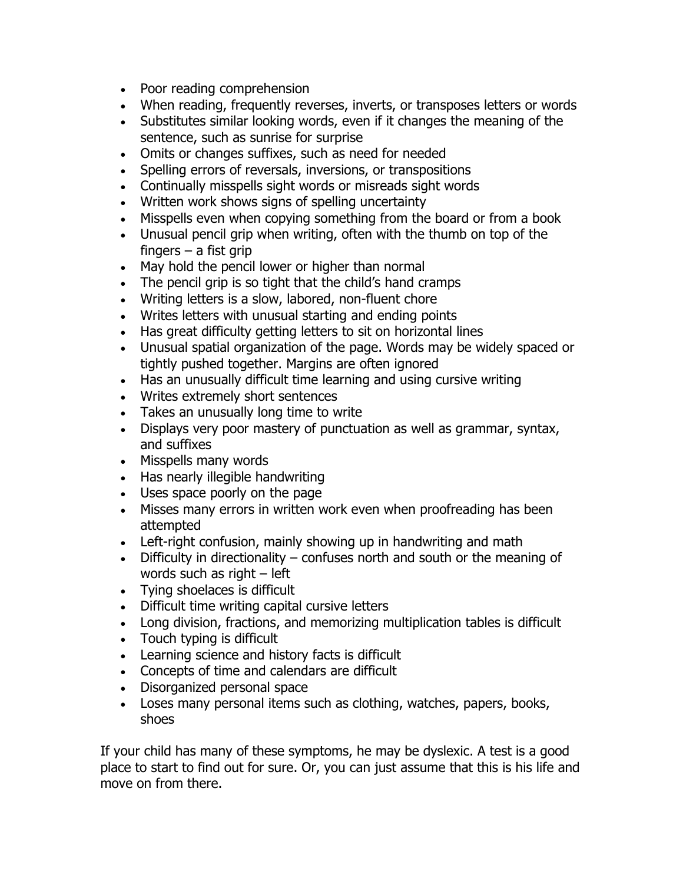- Poor reading comprehension
- When reading, frequently reverses, inverts, or transposes letters or words
- Substitutes similar looking words, even if it changes the meaning of the sentence, such as sunrise for surprise
- Omits or changes suffixes, such as need for needed
- Spelling errors of reversals, inversions, or transpositions
- Continually misspells sight words or misreads sight words
- Written work shows signs of spelling uncertainty
- Misspells even when copying something from the board or from a book
- Unusual pencil grip when writing, often with the thumb on top of the fingers  $-$  a fist grip
- May hold the pencil lower or higher than normal
- The pencil grip is so tight that the child's hand cramps
- Writing letters is a slow, labored, non-fluent chore
- Writes letters with unusual starting and ending points
- Has great difficulty getting letters to sit on horizontal lines
- Unusual spatial organization of the page. Words may be widely spaced or tightly pushed together. Margins are often ignored
- Has an unusually difficult time learning and using cursive writing
- Writes extremely short sentences
- Takes an unusually long time to write
- Displays very poor mastery of punctuation as well as grammar, syntax, and suffixes
- Misspells many words
- Has nearly illegible handwriting
- Uses space poorly on the page
- Misses many errors in written work even when proofreading has been attempted
- Left-right confusion, mainly showing up in handwriting and math
- Difficulty in directionality confuses north and south or the meaning of words such as right – left
- Tying shoelaces is difficult
- Difficult time writing capital cursive letters
- Long division, fractions, and memorizing multiplication tables is difficult
- Touch typing is difficult
- Learning science and history facts is difficult
- Concepts of time and calendars are difficult
- Disorganized personal space
- Loses many personal items such as clothing, watches, papers, books, shoes

If your child has many of these symptoms, he may be dyslexic. A test is a good place to start to find out for sure. Or, you can just assume that this is his life and move on from there.